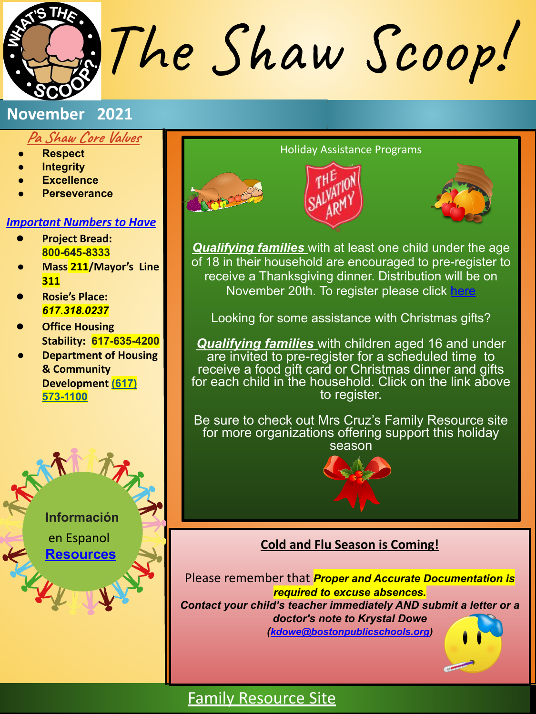The Shaw Scoop!

### **Pa Shaw Core Values**

- **● Respect**
- **● Integrity**
- **● Excellence**
- **● Perseverance**

### *Important Numbers to Have*

- **● Project Bread: 800-645-8333**
- **● Mass 211/Mayor's Line 311**
- **● Rosie's Place:**  *617.318.0237*
- **● Office Housing Stability: 617-635-4200**
- **● Department of Housing & Community Development (617) 573-1100**

**Información**

 en Espanol **[Resources](https://drive.google.com/open?id=1rsOeS9iwqqkDy7EsXCLqFpBu7tmSuPDZ)**



*Qualifying families* with at least one child under the age of 18 in their household are encouraged to pre-register to receive a Thanksgiving dinner. Distribution will be on November 20th. To register please click [here](https://easternusa.salvationarmy.org/massachusetts/boston-holiday-help/#Free-Text-Area)

Looking for some assistance with Christmas gifts?

*Qualifying families* with children aged 16 and under are invited to pre-register for a scheduled time to receive a food gift card or Christmas dinner and gifts for each child in the household. Click on the link above to register.

Be sure to check out Mrs Cruz's Family Resource site for more organizations offering support this holiday season



### **Cold and Flu Season is Coming!**

Please remember that *Proper and Accurate Documentation is required to excuse absences. Contact your child's teacher immediately AND submit a letter or a doctor's note to Krystal Dowe ([kdowe@bostonpublicschools.org\)](mailto:kdowe@bostonpublicschools.org)* 

# [Family Resource Site](https://sites.google.com/bostonpublicschools.org/pashawfamilyresourcesite/home)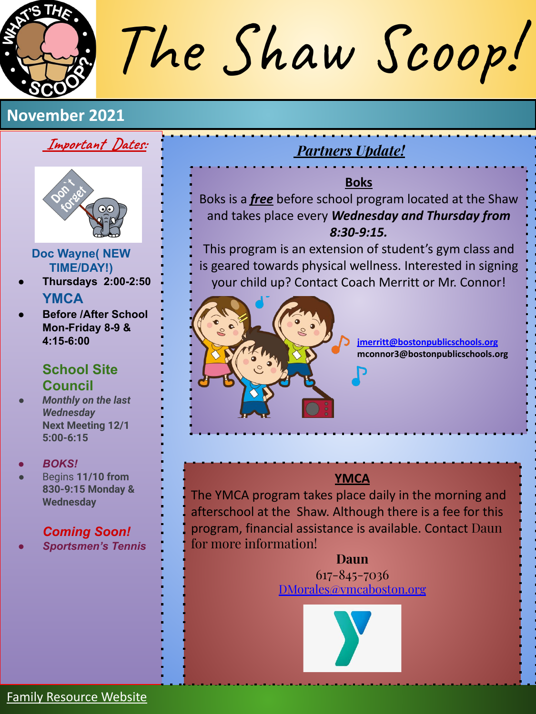The Shaw Scoop!

## **Important Dates:**



### **Doc Wayne( NEW TIME/DAY!)**

- **● Thursdays 2:00-2:50 YMCA**
- **● Before /After School Mon-Friday 8-9 & 4:15-6:00**

## **School Site Council**

*● Monthly on the last Wednesday*  **Next Meeting 12/1 5:00-6:15**

### *● BOKS!*

● Begins **11/10 from 830-9:15 Monday & Wednesday**

## *Coming Soon!*

*● Sportsmen's Tennis*

# *Partners Update!*

## **Boks**

Boks is a *free* before school program located at the Shaw and takes place every *Wednesday and Thursday from 8:30-9:15.* 

This program is an extension of student's gym class and is geared towards physical wellness. Interested in signing your child up? Contact Coach Merritt or Mr. Connor!



**[jmerritt@bostonpublicschools.org](mailto:jmerritt@bostonpublicschools.org) mconnor3@bostonpublicschools.org**

## **YMCA**

The YMCA program takes place daily in the morning and afterschool at the Shaw. Although there is a fee for this program, financial assistance is available. Contact Daun for more information!

> **Daun** 617-845-7036 [DMorales@ymcaboston.org](mailto:DMorales@ymcaboston.org)

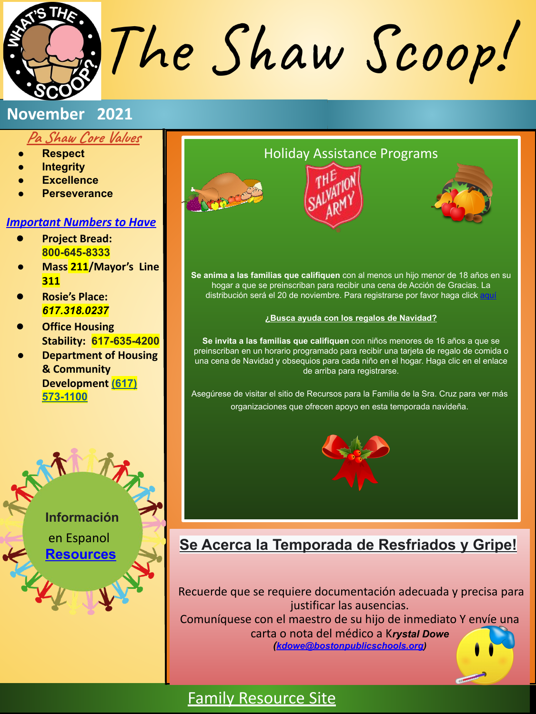The Shaw Scoop!

### **Pa Shaw Core Values**

- **● Respect**
- **● Integrity**
- **● Excellence**
- **● Perseverance**

### *Important Numbers to Have*

- **● Project Bread: 800-645-8333**
- **● Mass 211/Mayor's Line 311**
- **● Rosie's Place:**  *617.318.0237*
- **● Office Housing Stability: 617-635-4200**
- **● Department of Housing & Community Development (617) 573-1100**





**Se invita a las familias que califiquen** con niños menores de 16 años a que se preinscriban en un horario programado para recibir una tarjeta de regalo de comida o una cena de Navidad y obsequios para cada niño en el hogar. Haga clic en el enlace de arriba para registrarse.

Asegúrese de visitar el sitio de Recursos para la Familia de la Sra. Cruz para ver más organizaciones que ofrecen apoyo en esta temporada navideña.



## **Se Acerca la Temporada de Resfriados y Gripe!**

Recuerde que se requiere documentación adecuada y precisa para justificar las ausencias. Comuníquese con el maestro de su hijo de inmediato Y envíe una carta o nota del médico a K*rystal Dowe*

*([kdowe@bostonpublicschools.org\)](mailto:kdowe@bostonpublicschools.org)* 

# [Family Resource Site](https://sites.google.com/bostonpublicschools.org/pashawfamilyresourcesite/home)